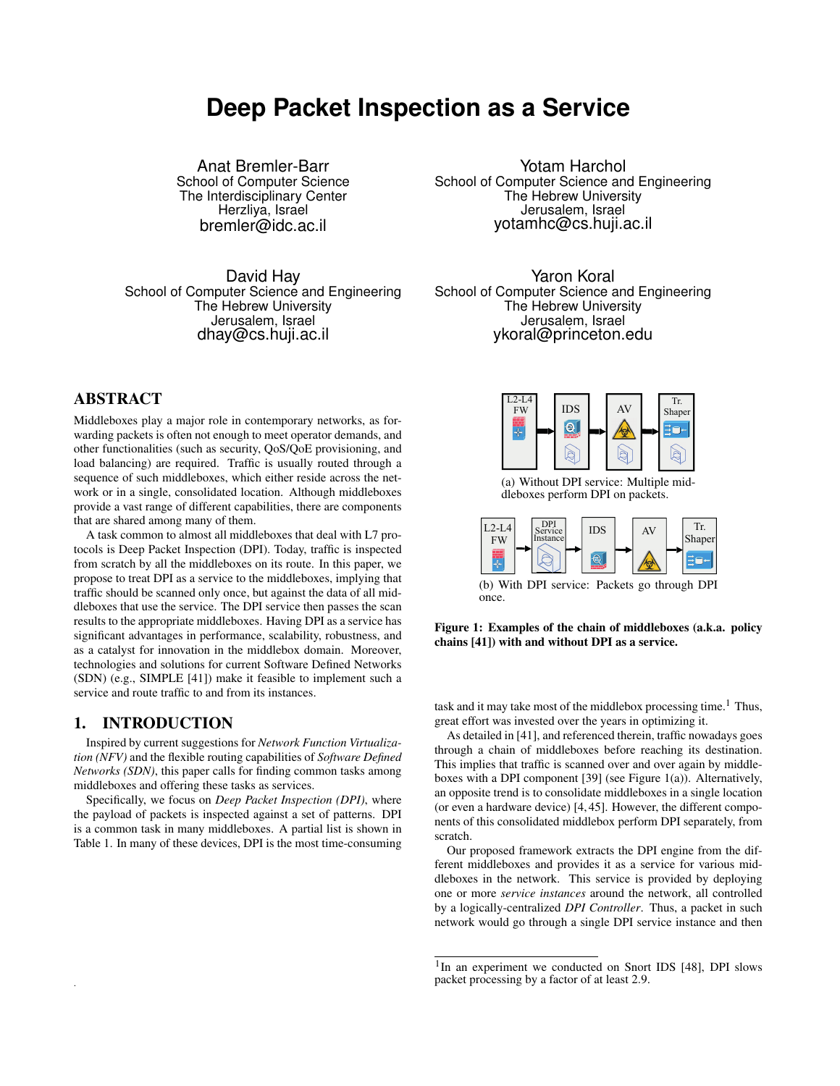# **Deep Packet Inspection as a Service**

Anat Bremler-Barr School of Computer Science The Interdisciplinary Center Herzliya, Israel bremler@idc.ac.il

David Hay School of Computer Science and Engineering The Hebrew University Jerusalem, Israel dhay@cs.huji.ac.il

ABSTRACT

Middleboxes play a major role in contemporary networks, as forwarding packets is often not enough to meet operator demands, and other functionalities (such as security, QoS/QoE provisioning, and load balancing) are required. Traffic is usually routed through a sequence of such middleboxes, which either reside across the network or in a single, consolidated location. Although middleboxes provide a vast range of different capabilities, there are components that are shared among many of them.

A task common to almost all middleboxes that deal with L7 protocols is Deep Packet Inspection (DPI). Today, traffic is inspected from scratch by all the middleboxes on its route. In this paper, we propose to treat DPI as a service to the middleboxes, implying that traffic should be scanned only once, but against the data of all middleboxes that use the service. The DPI service then passes the scan results to the appropriate middleboxes. Having DPI as a service has significant advantages in performance, scalability, robustness, and as a catalyst for innovation in the middlebox domain. Moreover, technologies and solutions for current Software Defined Networks (SDN) (e.g., SIMPLE [41]) make it feasible to implement such a service and route traffic to and from its instances.

## 1. INTRODUCTION

.

Inspired by current suggestions for *Network Function Virtualization (NFV)* and the flexible routing capabilities of *Software Defined Networks (SDN)*, this paper calls for finding common tasks among middleboxes and offering these tasks as services.

Specifically, we focus on *Deep Packet Inspection (DPI)*, where the payload of packets is inspected against a set of patterns. DPI is a common task in many middleboxes. A partial list is shown in Table 1. In many of these devices, DPI is the most time-consuming

Yotam Harchol School of Computer Science and Engineering The Hebrew University Jerusalem, Israel yotamhc@cs.huji.ac.il

Yaron Koral School of Computer Science and Engineering The Hebrew University Jerusalem, Israel ykoral@princeton.edu



(a) Without DPI service: Multiple middleboxes perform DPI on packets.



(b) With DPI service: Packets go through DPI once.

Figure 1: Examples of the chain of middleboxes (a.k.a. policy chains [41]) with and without DPI as a service.

task and it may take most of the middlebox processing time.<sup>1</sup> Thus, great effort was invested over the years in optimizing it.

As detailed in [41], and referenced therein, traffic nowadays goes through a chain of middleboxes before reaching its destination. This implies that traffic is scanned over and over again by middleboxes with a DPI component [39] (see Figure 1(a)). Alternatively, an opposite trend is to consolidate middleboxes in a single location (or even a hardware device) [4, 45]. However, the different components of this consolidated middlebox perform DPI separately, from scratch.

Our proposed framework extracts the DPI engine from the different middleboxes and provides it as a service for various middleboxes in the network. This service is provided by deploying one or more *service instances* around the network, all controlled by a logically-centralized *DPI Controller*. Thus, a packet in such network would go through a single DPI service instance and then

<sup>&</sup>lt;sup>1</sup>In an experiment we conducted on Snort IDS [48], DPI slows packet processing by a factor of at least 2.9.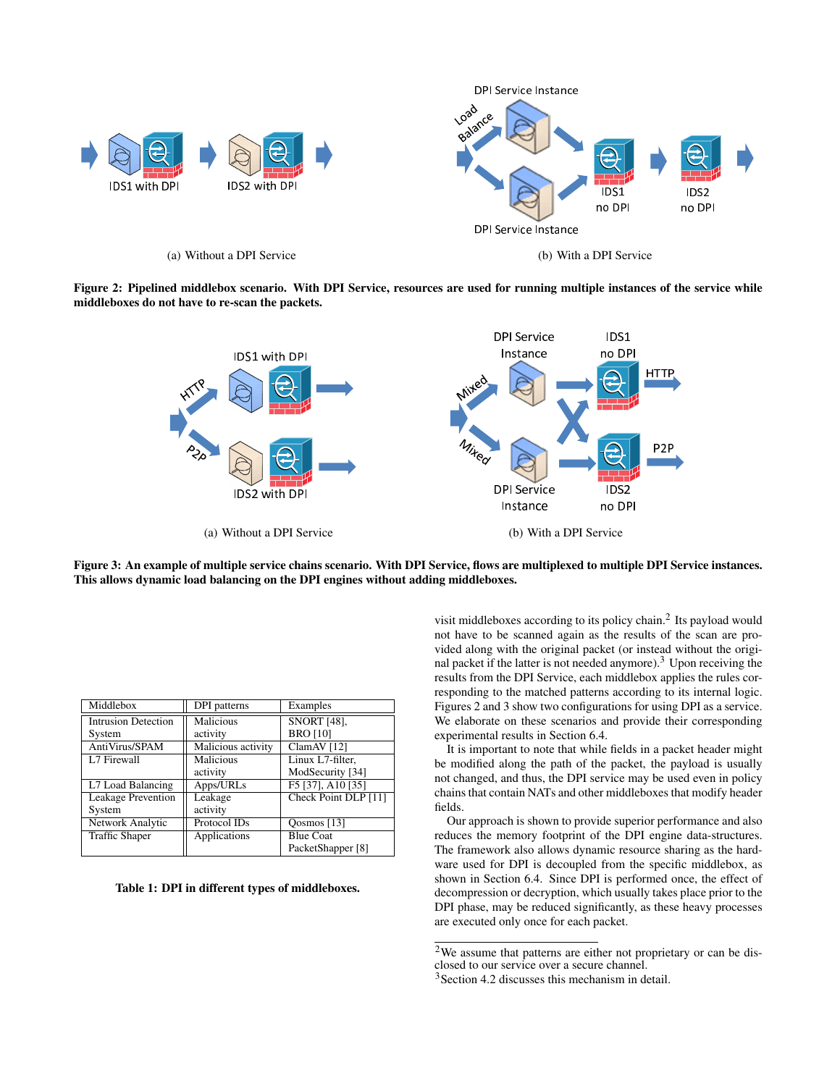

Figure 2: Pipelined middlebox scenario. With DPI Service, resources are used for running multiple instances of the service while middleboxes do not have to re-scan the packets.



Figure 3: An example of multiple service chains scenario. With DPI Service, flows are multiplexed to multiple DPI Service instances. This allows dynamic load balancing on the DPI engines without adding middleboxes.

| Middlebox                  | DPI patterns       | Examples             |  |
|----------------------------|--------------------|----------------------|--|
| <b>Intrusion Detection</b> | Malicious          | <b>SNORT [48],</b>   |  |
| System                     | activity           | <b>BRO [10]</b>      |  |
| AntiVirus/SPAM             | Malicious activity | ClamAV $[12]$        |  |
| L7 Firewall                | <b>Malicious</b>   | Linux L7-filter,     |  |
|                            | activity           | ModSecurity [34]     |  |
| L7 Load Balancing          | Apps/URLs          | F5 [37], A10 [35]    |  |
| Leakage Prevention         | Leakage            | Check Point DLP [11] |  |
| System                     | activity           |                      |  |
| Network Analytic           | Protocol IDs       | Oosmos $[13]$        |  |
| <b>Traffic Shaper</b>      | Applications       | <b>Blue Coat</b>     |  |
|                            |                    | PacketShapper [8]    |  |

Table 1: DPI in different types of middleboxes.

visit middleboxes according to its policy chain.<sup>2</sup> Its payload would not have to be scanned again as the results of the scan are provided along with the original packet (or instead without the original packet if the latter is not needed anymore).<sup>3</sup> Upon receiving the results from the DPI Service, each middlebox applies the rules corresponding to the matched patterns according to its internal logic. Figures 2 and 3 show two configurations for using DPI as a service. We elaborate on these scenarios and provide their corresponding experimental results in Section 6.4.

It is important to note that while fields in a packet header might be modified along the path of the packet, the payload is usually not changed, and thus, the DPI service may be used even in policy chains that contain NATs and other middleboxes that modify header fields.

Our approach is shown to provide superior performance and also reduces the memory footprint of the DPI engine data-structures. The framework also allows dynamic resource sharing as the hardware used for DPI is decoupled from the specific middlebox, as shown in Section 6.4. Since DPI is performed once, the effect of decompression or decryption, which usually takes place prior to the DPI phase, may be reduced significantly, as these heavy processes are executed only once for each packet.

<sup>2</sup>We assume that patterns are either not proprietary or can be disclosed to our service over a secure channel.

<sup>3</sup>Section 4.2 discusses this mechanism in detail.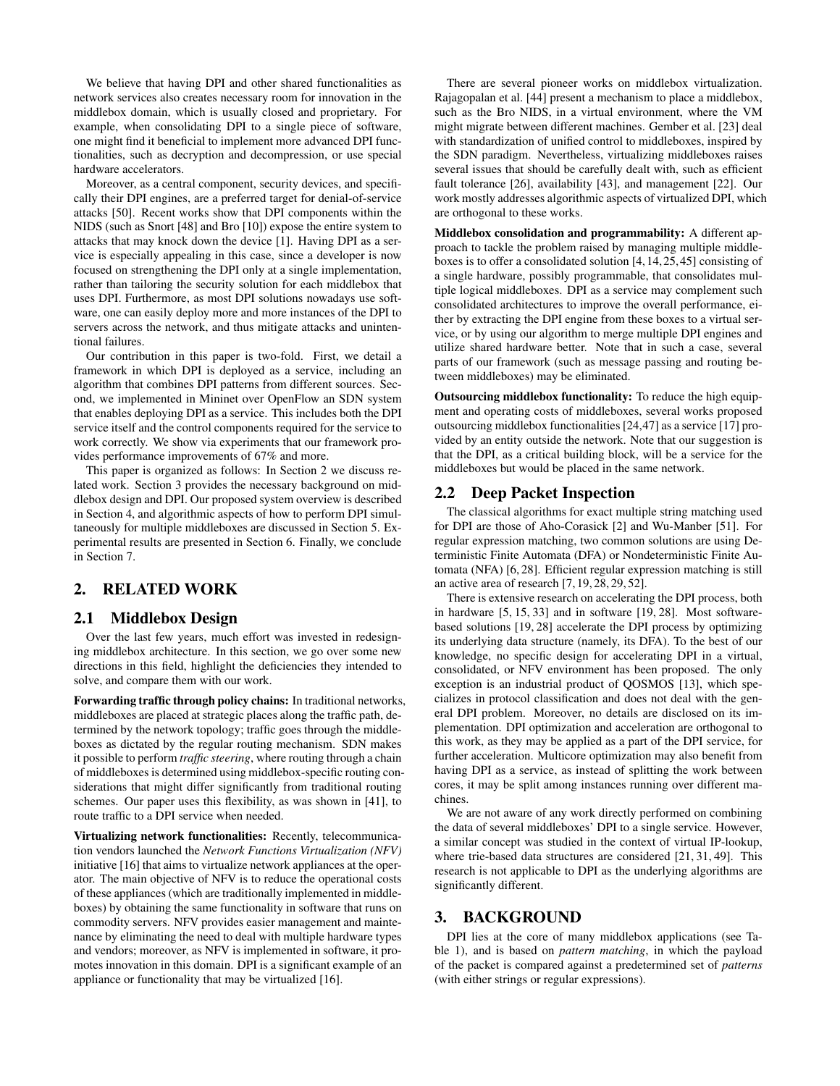We believe that having DPI and other shared functionalities as network services also creates necessary room for innovation in the middlebox domain, which is usually closed and proprietary. For example, when consolidating DPI to a single piece of software, one might find it beneficial to implement more advanced DPI functionalities, such as decryption and decompression, or use special hardware accelerators.

Moreover, as a central component, security devices, and specifically their DPI engines, are a preferred target for denial-of-service attacks [50]. Recent works show that DPI components within the NIDS (such as Snort [48] and Bro [10]) expose the entire system to attacks that may knock down the device [1]. Having DPI as a service is especially appealing in this case, since a developer is now focused on strengthening the DPI only at a single implementation, rather than tailoring the security solution for each middlebox that uses DPI. Furthermore, as most DPI solutions nowadays use software, one can easily deploy more and more instances of the DPI to servers across the network, and thus mitigate attacks and unintentional failures.

Our contribution in this paper is two-fold. First, we detail a framework in which DPI is deployed as a service, including an algorithm that combines DPI patterns from different sources. Second, we implemented in Mininet over OpenFlow an SDN system that enables deploying DPI as a service. This includes both the DPI service itself and the control components required for the service to work correctly. We show via experiments that our framework provides performance improvements of 67% and more.

This paper is organized as follows: In Section 2 we discuss related work. Section 3 provides the necessary background on middlebox design and DPI. Our proposed system overview is described in Section 4, and algorithmic aspects of how to perform DPI simultaneously for multiple middleboxes are discussed in Section 5. Experimental results are presented in Section 6. Finally, we conclude in Section 7.

## 2. RELATED WORK

## 2.1 Middlebox Design

Over the last few years, much effort was invested in redesigning middlebox architecture. In this section, we go over some new directions in this field, highlight the deficiencies they intended to solve, and compare them with our work.

Forwarding traffic through policy chains: In traditional networks, middleboxes are placed at strategic places along the traffic path, determined by the network topology; traffic goes through the middleboxes as dictated by the regular routing mechanism. SDN makes it possible to perform *traffic steering*, where routing through a chain of middleboxes is determined using middlebox-specific routing considerations that might differ significantly from traditional routing schemes. Our paper uses this flexibility, as was shown in [41], to route traffic to a DPI service when needed.

Virtualizing network functionalities: Recently, telecommunication vendors launched the *Network Functions Virtualization (NFV)* initiative [16] that aims to virtualize network appliances at the operator. The main objective of NFV is to reduce the operational costs of these appliances (which are traditionally implemented in middleboxes) by obtaining the same functionality in software that runs on commodity servers. NFV provides easier management and maintenance by eliminating the need to deal with multiple hardware types and vendors; moreover, as NFV is implemented in software, it promotes innovation in this domain. DPI is a significant example of an appliance or functionality that may be virtualized [16].

There are several pioneer works on middlebox virtualization. Rajagopalan et al. [44] present a mechanism to place a middlebox, such as the Bro NIDS, in a virtual environment, where the VM might migrate between different machines. Gember et al. [23] deal with standardization of unified control to middleboxes, inspired by the SDN paradigm. Nevertheless, virtualizing middleboxes raises several issues that should be carefully dealt with, such as efficient fault tolerance [26], availability [43], and management [22]. Our work mostly addresses algorithmic aspects of virtualized DPI, which are orthogonal to these works.

Middlebox consolidation and programmability: A different approach to tackle the problem raised by managing multiple middleboxes is to offer a consolidated solution [4, 14, 25, 45] consisting of a single hardware, possibly programmable, that consolidates multiple logical middleboxes. DPI as a service may complement such consolidated architectures to improve the overall performance, either by extracting the DPI engine from these boxes to a virtual service, or by using our algorithm to merge multiple DPI engines and utilize shared hardware better. Note that in such a case, several parts of our framework (such as message passing and routing between middleboxes) may be eliminated.

Outsourcing middlebox functionality: To reduce the high equipment and operating costs of middleboxes, several works proposed outsourcing middlebox functionalities [24,47] as a service [17] provided by an entity outside the network. Note that our suggestion is that the DPI, as a critical building block, will be a service for the middleboxes but would be placed in the same network.

#### 2.2 Deep Packet Inspection

The classical algorithms for exact multiple string matching used for DPI are those of Aho-Corasick [2] and Wu-Manber [51]. For regular expression matching, two common solutions are using Deterministic Finite Automata (DFA) or Nondeterministic Finite Automata (NFA) [6, 28]. Efficient regular expression matching is still an active area of research [7, 19, 28, 29, 52].

There is extensive research on accelerating the DPI process, both in hardware [5, 15, 33] and in software [19, 28]. Most softwarebased solutions [19, 28] accelerate the DPI process by optimizing its underlying data structure (namely, its DFA). To the best of our knowledge, no specific design for accelerating DPI in a virtual, consolidated, or NFV environment has been proposed. The only exception is an industrial product of QOSMOS [13], which specializes in protocol classification and does not deal with the general DPI problem. Moreover, no details are disclosed on its implementation. DPI optimization and acceleration are orthogonal to this work, as they may be applied as a part of the DPI service, for further acceleration. Multicore optimization may also benefit from having DPI as a service, as instead of splitting the work between cores, it may be split among instances running over different machines.

We are not aware of any work directly performed on combining the data of several middleboxes' DPI to a single service. However, a similar concept was studied in the context of virtual IP-lookup, where trie-based data structures are considered [21, 31, 49]. This research is not applicable to DPI as the underlying algorithms are significantly different.

## 3. BACKGROUND

DPI lies at the core of many middlebox applications (see Table 1), and is based on *pattern matching*, in which the payload of the packet is compared against a predetermined set of *patterns* (with either strings or regular expressions).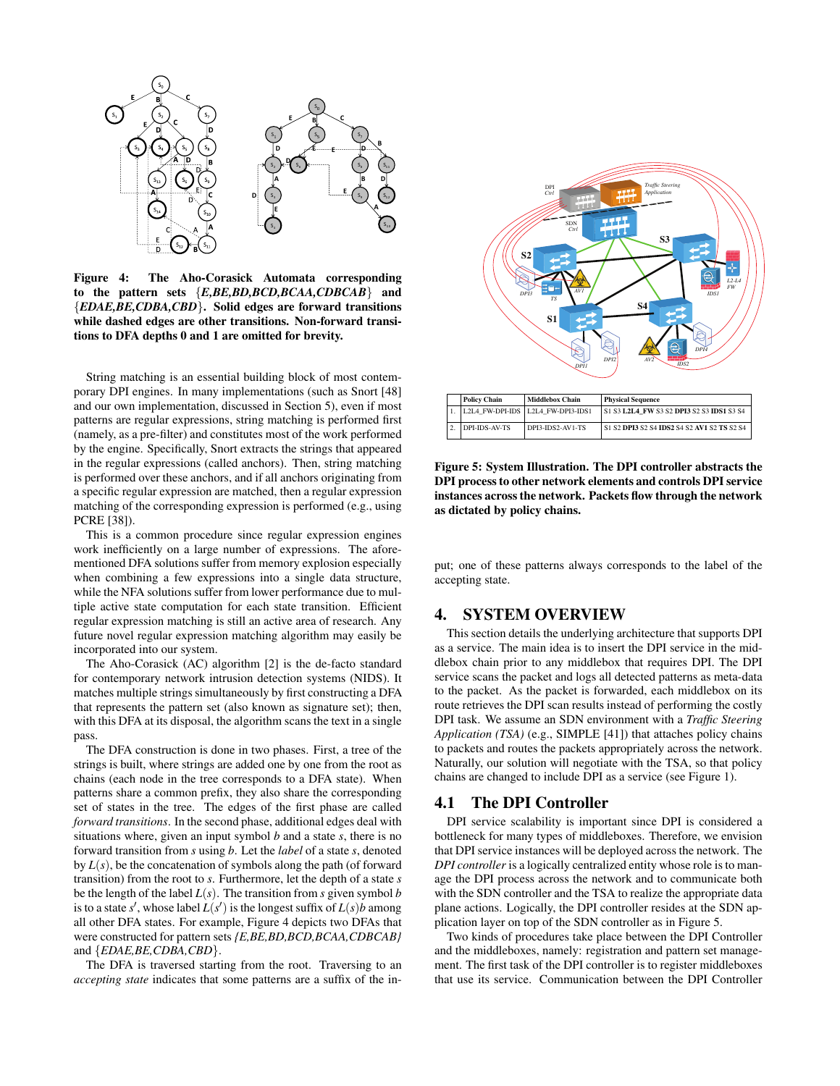

Figure 4: The Aho-Corasick Automata corresponding to the pattern sets {*E,BE,BD,BCD,BCAA,CDBCAB*} and {*EDAE,BE,CDBA,CBD*}. Solid edges are forward transitions while dashed edges are other transitions. Non-forward transitions to DFA depths 0 and 1 are omitted for brevity.

String matching is an essential building block of most contemporary DPI engines. In many implementations (such as Snort [48] and our own implementation, discussed in Section 5), even if most patterns are regular expressions, string matching is performed first (namely, as a pre-filter) and constitutes most of the work performed by the engine. Specifically, Snort extracts the strings that appeared in the regular expressions (called anchors). Then, string matching is performed over these anchors, and if all anchors originating from a specific regular expression are matched, then a regular expression matching of the corresponding expression is performed (e.g., using PCRE [38]).

This is a common procedure since regular expression engines work inefficiently on a large number of expressions. The aforementioned DFA solutions suffer from memory explosion especially when combining a few expressions into a single data structure, while the NFA solutions suffer from lower performance due to multiple active state computation for each state transition. Efficient regular expression matching is still an active area of research. Any future novel regular expression matching algorithm may easily be incorporated into our system.

The Aho-Corasick (AC) algorithm [2] is the de-facto standard for contemporary network intrusion detection systems (NIDS). It matches multiple strings simultaneously by first constructing a DFA that represents the pattern set (also known as signature set); then, with this DFA at its disposal, the algorithm scans the text in a single pass.

The DFA construction is done in two phases. First, a tree of the strings is built, where strings are added one by one from the root as chains (each node in the tree corresponds to a DFA state). When patterns share a common prefix, they also share the corresponding set of states in the tree. The edges of the first phase are called *forward transitions*. In the second phase, additional edges deal with situations where, given an input symbol *b* and a state *s*, there is no forward transition from *s* using *b*. Let the *label* of a state *s*, denoted by  $L(s)$ , be the concatenation of symbols along the path (of forward transition) from the root to *s*. Furthermore, let the depth of a state *s* be the length of the label *L*(*s*). The transition from *s* given symbol *b* is to a state *s*<sup> $\prime$ </sup>, whose label  $\dot{L}(s')$  is the longest suffix of  $L(s)b$  among all other DFA states. For example, Figure 4 depicts two DFAs that were constructed for pattern sets *{E,BE,BD,BCD,BCAA,CDBCAB}* and {*EDAE,BE,CDBA,CBD*}.

The DFA is traversed starting from the root. Traversing to an *accepting state* indicates that some patterns are a suffix of the in-



Figure 5: System Illustration. The DPI controller abstracts the DPI process to other network elements and controls DPI service instances across the network. Packets flow through the network as dictated by policy chains.

put; one of these patterns always corresponds to the label of the accepting state.

## 4. SYSTEM OVERVIEW

This section details the underlying architecture that supports DPI as a service. The main idea is to insert the DPI service in the middlebox chain prior to any middlebox that requires DPI. The DPI service scans the packet and logs all detected patterns as meta-data to the packet. As the packet is forwarded, each middlebox on its route retrieves the DPI scan results instead of performing the costly DPI task. We assume an SDN environment with a *Traffic Steering Application (TSA)* (e.g., SIMPLE [41]) that attaches policy chains to packets and routes the packets appropriately across the network. Naturally, our solution will negotiate with the TSA, so that policy chains are changed to include DPI as a service (see Figure 1).

#### 4.1 The DPI Controller

DPI service scalability is important since DPI is considered a bottleneck for many types of middleboxes. Therefore, we envision that DPI service instances will be deployed across the network. The *DPI controller* is a logically centralized entity whose role is to manage the DPI process across the network and to communicate both with the SDN controller and the TSA to realize the appropriate data plane actions. Logically, the DPI controller resides at the SDN application layer on top of the SDN controller as in Figure 5.

Two kinds of procedures take place between the DPI Controller and the middleboxes, namely: registration and pattern set management. The first task of the DPI controller is to register middleboxes that use its service. Communication between the DPI Controller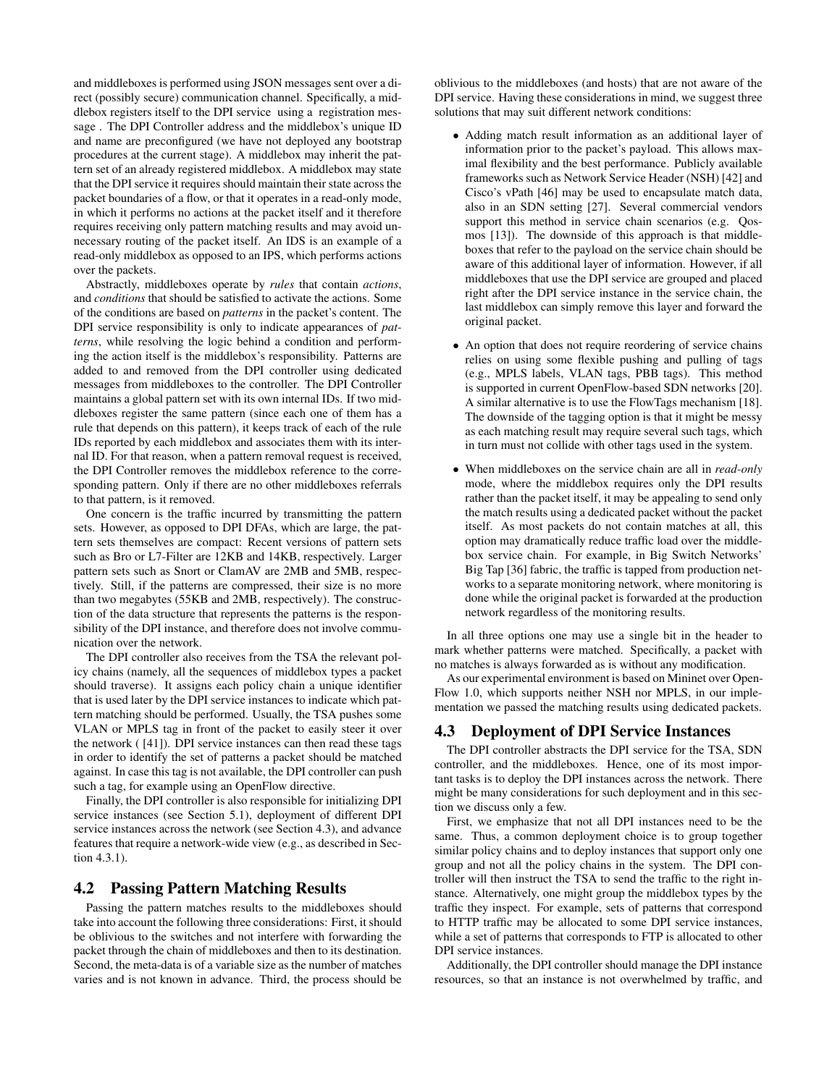and middleboxes is performed using JSON messages sent over a direct (possibly secure) communication channel. Specifically, a middlebox registers itself to the DPI service using a registration message . The DPI Controller address and the middlebox's unique ID and name are preconfigured (we have not deployed any bootstrap procedures at the current stage). A middlebox may inherit the pattern set of an already registered middlebox. A middlebox may state that the DPI service it requires should maintain their state across the packet boundaries of a flow, or that it operates in a read-only mode, in which it performs no actions at the packet itself and it therefore requires receiving only pattern matching results and may avoid unnecessary routing of the packet itself. An IDS is an example of a read-only middlebox as opposed to an IPS, which performs actions over the packets.

Abstractly, middleboxes operate by *rules* that contain *actions*, and *conditions* that should be satisfied to activate the actions. Some of the conditions are based on *patterns* in the packet's content. The DPI service responsibility is only to indicate appearances of *patterns*, while resolving the logic behind a condition and performing the action itself is the middlebox's responsibility. Patterns are added to and removed from the DPI controller using dedicated messages from middleboxes to the controller. The DPI Controller maintains a global pattern set with its own internal IDs. If two middleboxes register the same pattern (since each one of them has a rule that depends on this pattern), it keeps track of each of the rule IDs reported by each middlebox and associates them with its internal ID. For that reason, when a pattern removal request is received, the DPI Controller removes the middlebox reference to the corresponding pattern. Only if there are no other middleboxes referrals to that pattern, is it removed.

One concern is the traffic incurred by transmitting the pattern sets. However, as opposed to DPI DFAs, which are large, the pattern sets themselves are compact: Recent versions of pattern sets such as Bro or L7-Filter are 12KB and 14KB, respectively. Larger pattern sets such as Snort or ClamAV are 2MB and 5MB, respectively. Still, if the patterns are compressed, their size is no more than two megabytes (55KB and 2MB, respectively). The construction of the data structure that represents the patterns is the responsibility of the DPI instance, and therefore does not involve communication over the network.

The DPI controller also receives from the TSA the relevant policy chains (namely, all the sequences of middlebox types a packet should traverse). It assigns each policy chain a unique identifier that is used later by the DPI service instances to indicate which pattern matching should be performed. Usually, the TSA pushes some VLAN or MPLS tag in front of the packet to easily steer it over the network ( [41]). DPI service instances can then read these tags in order to identify the set of patterns a packet should be matched against. In case this tag is not available, the DPI controller can push such a tag, for example using an OpenFlow directive.

Finally, the DPI controller is also responsible for initializing DPI service instances (see Section 5.1), deployment of different DPI service instances across the network (see Section 4.3), and advance features that require a network-wide view (e.g., as described in Section 4.3.1).

## 4.2 Passing Pattern Matching Results

Passing the pattern matches results to the middleboxes should take into account the following three considerations: First, it should be oblivious to the switches and not interfere with forwarding the packet through the chain of middleboxes and then to its destination. Second, the meta-data is of a variable size as the number of matches varies and is not known in advance. Third, the process should be oblivious to the middleboxes (and hosts) that are not aware of the DPI service. Having these considerations in mind, we suggest three solutions that may suit different network conditions:

- Adding match result information as an additional layer of information prior to the packet's payload. This allows maximal flexibility and the best performance. Publicly available frameworks such as Network Service Header (NSH) [42] and Cisco's vPath [46] may be used to encapsulate match data, also in an SDN setting [27]. Several commercial vendors support this method in service chain scenarios (e.g. Qosmos [13]). The downside of this approach is that middleboxes that refer to the payload on the service chain should be aware of this additional layer of information. However, if all middleboxes that use the DPI service are grouped and placed right after the DPI service instance in the service chain, the last middlebox can simply remove this layer and forward the original packet.
- An option that does not require reordering of service chains relies on using some flexible pushing and pulling of tags (e.g., MPLS labels, VLAN tags, PBB tags). This method is supported in current OpenFlow-based SDN networks [20]. A similar alternative is to use the FlowTags mechanism [18]. The downside of the tagging option is that it might be messy as each matching result may require several such tags, which in turn must not collide with other tags used in the system.
- When middleboxes on the service chain are all in *read-only* mode, where the middlebox requires only the DPI results rather than the packet itself, it may be appealing to send only the match results using a dedicated packet without the packet itself. As most packets do not contain matches at all, this option may dramatically reduce traffic load over the middlebox service chain. For example, in Big Switch Networks' Big Tap [36] fabric, the traffic is tapped from production networks to a separate monitoring network, where monitoring is done while the original packet is forwarded at the production network regardless of the monitoring results.

In all three options one may use a single bit in the header to mark whether patterns were matched. Specifically, a packet with no matches is always forwarded as is without any modification.

As our experimental environment is based on Mininet over Open-Flow 1.0, which supports neither NSH nor MPLS, in our implementation we passed the matching results using dedicated packets.

## 4.3 Deployment of DPI Service Instances

The DPI controller abstracts the DPI service for the TSA, SDN controller, and the middleboxes. Hence, one of its most important tasks is to deploy the DPI instances across the network. There might be many considerations for such deployment and in this section we discuss only a few.

First, we emphasize that not all DPI instances need to be the same. Thus, a common deployment choice is to group together similar policy chains and to deploy instances that support only one group and not all the policy chains in the system. The DPI controller will then instruct the TSA to send the traffic to the right instance. Alternatively, one might group the middlebox types by the traffic they inspect. For example, sets of patterns that correspond to HTTP traffic may be allocated to some DPI service instances, while a set of patterns that corresponds to FTP is allocated to other DPI service instances.

Additionally, the DPI controller should manage the DPI instance resources, so that an instance is not overwhelmed by traffic, and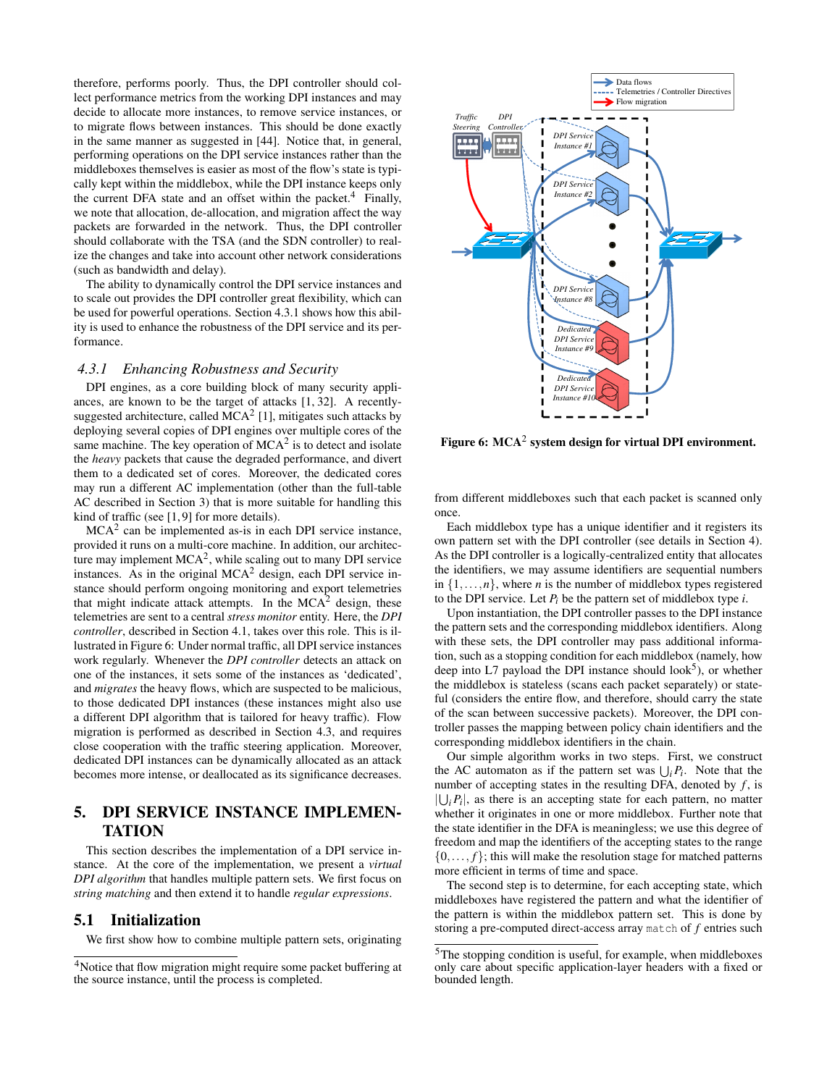therefore, performs poorly. Thus, the DPI controller should collect performance metrics from the working DPI instances and may decide to allocate more instances, to remove service instances, or to migrate flows between instances. This should be done exactly in the same manner as suggested in [44]. Notice that, in general, performing operations on the DPI service instances rather than the middleboxes themselves is easier as most of the flow's state is typically kept within the middlebox, while the DPI instance keeps only the current DFA state and an offset within the packet.<sup>4</sup> Finally, we note that allocation, de-allocation, and migration affect the way packets are forwarded in the network. Thus, the DPI controller should collaborate with the TSA (and the SDN controller) to realize the changes and take into account other network considerations (such as bandwidth and delay).

The ability to dynamically control the DPI service instances and to scale out provides the DPI controller great flexibility, which can be used for powerful operations. Section 4.3.1 shows how this ability is used to enhance the robustness of the DPI service and its performance.

#### *4.3.1 Enhancing Robustness and Security*

DPI engines, as a core building block of many security appliances, are known to be the target of attacks [1, 32]. A recentlysuggested architecture, called  $MCA^2$  [1], mitigates such attacks by deploying several copies of DPI engines over multiple cores of the same machine. The key operation of  $MCA^2$  is to detect and isolate the *heavy* packets that cause the degraded performance, and divert them to a dedicated set of cores. Moreover, the dedicated cores may run a different AC implementation (other than the full-table AC described in Section 3) that is more suitable for handling this kind of traffic (see [1, 9] for more details).

 $MCA<sup>2</sup>$  can be implemented as-is in each DPI service instance, provided it runs on a multi-core machine. In addition, our architecture may implement  $MCA^2$ , while scaling out to many DPI service instances. As in the original  $MCA^2$  design, each DPI service instance should perform ongoing monitoring and export telemetries that might indicate attack attempts. In the  $MCA<sup>2</sup>$  design, these telemetries are sent to a central *stress monitor* entity. Here, the *DPI controller*, described in Section 4.1, takes over this role. This is illustrated in Figure 6: Under normal traffic, all DPI service instances work regularly. Whenever the *DPI controller* detects an attack on one of the instances, it sets some of the instances as 'dedicated', and *migrates* the heavy flows, which are suspected to be malicious, to those dedicated DPI instances (these instances might also use a different DPI algorithm that is tailored for heavy traffic). Flow migration is performed as described in Section 4.3, and requires close cooperation with the traffic steering application. Moreover, dedicated DPI instances can be dynamically allocated as an attack becomes more intense, or deallocated as its significance decreases.

# 5. DPI SERVICE INSTANCE IMPLEMEN-TATION

This section describes the implementation of a DPI service instance. At the core of the implementation, we present a *virtual DPI algorithm* that handles multiple pattern sets. We first focus on *string matching* and then extend it to handle *regular expressions*.

## 5.1 Initialization

We first show how to combine multiple pattern sets, originating



Figure 6:  $MCA<sup>2</sup>$  system design for virtual DPI environment.

from different middleboxes such that each packet is scanned only once.

Each middlebox type has a unique identifier and it registers its own pattern set with the DPI controller (see details in Section 4). As the DPI controller is a logically-centralized entity that allocates the identifiers, we may assume identifiers are sequential numbers in  $\{1,\ldots,n\}$ , where *n* is the number of middlebox types registered to the DPI service. Let  $P_i$  be the pattern set of middlebox type *i*.

Upon instantiation, the DPI controller passes to the DPI instance the pattern sets and the corresponding middlebox identifiers. Along with these sets, the DPI controller may pass additional information, such as a stopping condition for each middlebox (namely, how deep into  $L7$  payload the DPI instance should look<sup>5</sup>), or whether the middlebox is stateless (scans each packet separately) or stateful (considers the entire flow, and therefore, should carry the state of the scan between successive packets). Moreover, the DPI controller passes the mapping between policy chain identifiers and the corresponding middlebox identifiers in the chain.

Our simple algorithm works in two steps. First, we construct the AC automaton as if the pattern set was  $\bigcup_i P_i$ . Note that the number of accepting states in the resulting DFA, denoted by  $f$ , is  $|\bigcup_i P_i|$ , as there is an accepting state for each pattern, no matter whether it originates in one or more middlebox. Further note that the state identifier in the DFA is meaningless; we use this degree of freedom and map the identifiers of the accepting states to the range  $\{0,\ldots,f\}$ ; this will make the resolution stage for matched patterns more efficient in terms of time and space.

The second step is to determine, for each accepting state, which middleboxes have registered the pattern and what the identifier of the pattern is within the middlebox pattern set. This is done by storing a pre-computed direct-access array match of *f* entries such

<sup>4</sup>Notice that flow migration might require some packet buffering at the source instance, until the process is completed.

<sup>5</sup>The stopping condition is useful, for example, when middleboxes only care about specific application-layer headers with a fixed or bounded length.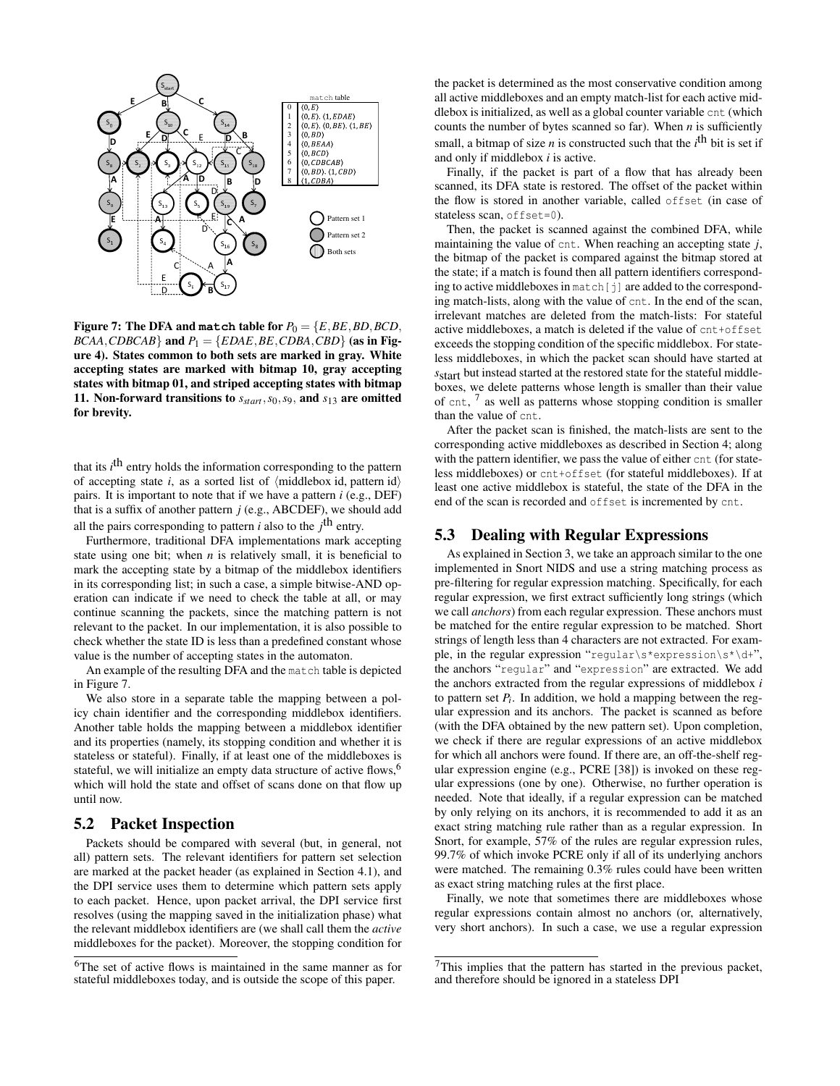

Figure 7: The DFA and match table for  $P_0 = \{E, BE, BD, BCD,$ *BCAA*,*CDBCAB*} and  $P_1 = \{EDAE, BE, CDBA, CBD\}$  (as in Figure 4). States common to both sets are marked in gray. White accepting states are marked with bitmap 10, gray accepting states with bitmap 01, and striped accepting states with bitmap 11. Non-forward transitions to *sstart* ,*s*0,*s*9, and *s*<sup>13</sup> are omitted for brevity.

that its *i* th entry holds the information corresponding to the pattern of accepting state  $i$ , as a sorted list of  $\langle$ middlebox id, pattern id $\rangle$ pairs. It is important to note that if we have a pattern *i* (e.g., DEF) that is a suffix of another pattern  $j$  (e.g., ABCDEF), we should add all the pairs corresponding to pattern  $i$  also to the  $j$ <sup>th</sup> entry.

Furthermore, traditional DFA implementations mark accepting state using one bit; when  $n$  is relatively small, it is beneficial to mark the accepting state by a bitmap of the middlebox identifiers in its corresponding list; in such a case, a simple bitwise-AND operation can indicate if we need to check the table at all, or may continue scanning the packets, since the matching pattern is not relevant to the packet. In our implementation, it is also possible to check whether the state ID is less than a predefined constant whose value is the number of accepting states in the automaton.

An example of the resulting DFA and the match table is depicted in Figure 7.

We also store in a separate table the mapping between a policy chain identifier and the corresponding middlebox identifiers. Another table holds the mapping between a middlebox identifier and its properties (namely, its stopping condition and whether it is stateless or stateful). Finally, if at least one of the middleboxes is stateful, we will initialize an empty data structure of active flows,<sup>6</sup> which will hold the state and offset of scans done on that flow up until now.

#### 5.2 Packet Inspection

Packets should be compared with several (but, in general, not all) pattern sets. The relevant identifiers for pattern set selection are marked at the packet header (as explained in Section 4.1), and the DPI service uses them to determine which pattern sets apply to each packet. Hence, upon packet arrival, the DPI service first resolves (using the mapping saved in the initialization phase) what the relevant middlebox identifiers are (we shall call them the *active* middleboxes for the packet). Moreover, the stopping condition for

the packet is determined as the most conservative condition among all active middleboxes and an empty match-list for each active middlebox is initialized, as well as a global counter variable cnt (which counts the number of bytes scanned so far). When  $n$  is sufficiently small, a bitmap of size  $n$  is constructed such that the  $i<sup>th</sup>$  bit is set if and only if middlebox *i* is active.

Finally, if the packet is part of a flow that has already been scanned, its DFA state is restored. The offset of the packet within the flow is stored in another variable, called offset (in case of stateless scan, offset=0).

Then, the packet is scanned against the combined DFA, while maintaining the value of cnt. When reaching an accepting state *j*, the bitmap of the packet is compared against the bitmap stored at the state; if a match is found then all pattern identifiers corresponding to active middleboxes in match [j] are added to the corresponding match-lists, along with the value of cnt. In the end of the scan, irrelevant matches are deleted from the match-lists: For stateful active middleboxes, a match is deleted if the value of cnt+offset exceeds the stopping condition of the specific middlebox. For stateless middleboxes, in which the packet scan should have started at *s*start but instead started at the restored state for the stateful middleboxes, we delete patterns whose length is smaller than their value of cnt, 7 as well as patterns whose stopping condition is smaller than the value of cnt.

After the packet scan is finished, the match-lists are sent to the corresponding active middleboxes as described in Section 4; along with the pattern identifier, we pass the value of either cnt (for stateless middleboxes) or cnt+offset (for stateful middleboxes). If at least one active middlebox is stateful, the state of the DFA in the end of the scan is recorded and offset is incremented by cnt.

# 5.3 Dealing with Regular Expressions

As explained in Section 3, we take an approach similar to the one implemented in Snort NIDS and use a string matching process as pre-filtering for regular expression matching. Specifically, for each regular expression, we first extract sufficiently long strings (which we call *anchors*) from each regular expression. These anchors must be matched for the entire regular expression to be matched. Short strings of length less than 4 characters are not extracted. For example, in the regular expression "regular\s\*expression\s\*\d+", the anchors "regular" and "expression" are extracted. We add the anchors extracted from the regular expressions of middlebox *i* to pattern set  $P_i$ . In addition, we hold a mapping between the regular expression and its anchors. The packet is scanned as before (with the DFA obtained by the new pattern set). Upon completion, we check if there are regular expressions of an active middlebox for which all anchors were found. If there are, an off-the-shelf regular expression engine (e.g., PCRE [38]) is invoked on these regular expressions (one by one). Otherwise, no further operation is needed. Note that ideally, if a regular expression can be matched by only relying on its anchors, it is recommended to add it as an exact string matching rule rather than as a regular expression. In Snort, for example, 57% of the rules are regular expression rules, 99.7% of which invoke PCRE only if all of its underlying anchors were matched. The remaining 0.3% rules could have been written as exact string matching rules at the first place.

Finally, we note that sometimes there are middleboxes whose regular expressions contain almost no anchors (or, alternatively, very short anchors). In such a case, we use a regular expression

<sup>&</sup>lt;sup>6</sup>The set of active flows is maintained in the same manner as for stateful middleboxes today, and is outside the scope of this paper.

 $7$ This implies that the pattern has started in the previous packet, and therefore should be ignored in a stateless DPI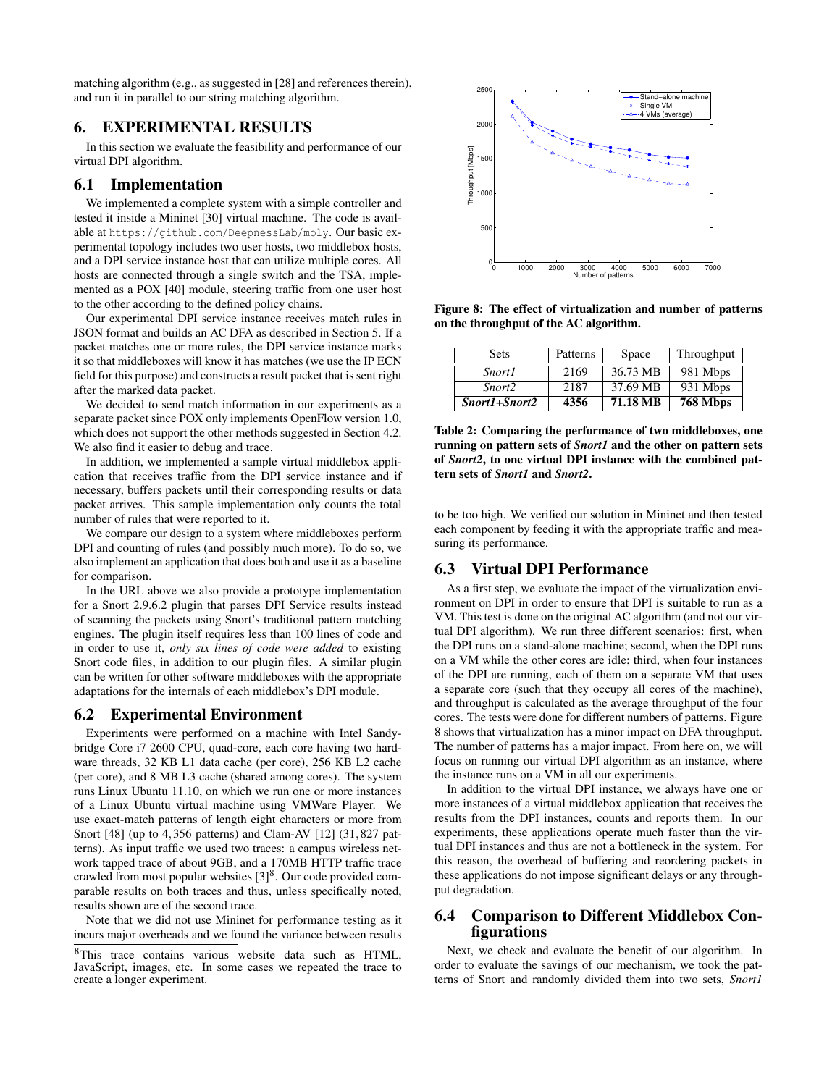matching algorithm (e.g., as suggested in [28] and references therein), and run it in parallel to our string matching algorithm.

# 6. EXPERIMENTAL RESULTS

In this section we evaluate the feasibility and performance of our virtual DPI algorithm.

#### 6.1 Implementation

We implemented a complete system with a simple controller and tested it inside a Mininet [30] virtual machine. The code is available at https://github.com/DeepnessLab/moly. Our basic experimental topology includes two user hosts, two middlebox hosts, and a DPI service instance host that can utilize multiple cores. All hosts are connected through a single switch and the TSA, implemented as a POX [40] module, steering traffic from one user host to the other according to the defined policy chains.

Our experimental DPI service instance receives match rules in JSON format and builds an AC DFA as described in Section 5. If a packet matches one or more rules, the DPI service instance marks it so that middleboxes will know it has matches (we use the IP ECN field for this purpose) and constructs a result packet that is sent right after the marked data packet.

We decided to send match information in our experiments as a separate packet since POX only implements OpenFlow version 1.0, which does not support the other methods suggested in Section 4.2. We also find it easier to debug and trace.

In addition, we implemented a sample virtual middlebox application that receives traffic from the DPI service instance and if necessary, buffers packets until their corresponding results or data packet arrives. This sample implementation only counts the total number of rules that were reported to it.

We compare our design to a system where middleboxes perform DPI and counting of rules (and possibly much more). To do so, we also implement an application that does both and use it as a baseline for comparison.

In the URL above we also provide a prototype implementation for a Snort 2.9.6.2 plugin that parses DPI Service results instead of scanning the packets using Snort's traditional pattern matching engines. The plugin itself requires less than 100 lines of code and in order to use it, *only six lines of code were added* to existing Snort code files, in addition to our plugin files. A similar plugin can be written for other software middleboxes with the appropriate adaptations for the internals of each middlebox's DPI module.

#### 6.2 Experimental Environment

Experiments were performed on a machine with Intel Sandybridge Core i7 2600 CPU, quad-core, each core having two hardware threads, 32 KB L1 data cache (per core), 256 KB L2 cache (per core), and 8 MB L3 cache (shared among cores). The system runs Linux Ubuntu 11.10, on which we run one or more instances of a Linux Ubuntu virtual machine using VMWare Player. We use exact-match patterns of length eight characters or more from Snort [48] (up to 4,356 patterns) and Clam-AV [12] (31,827 patterns). As input traffic we used two traces: a campus wireless network tapped trace of about 9GB, and a 170MB HTTP traffic trace crawled from most popular websites  $[3]^8$ . Our code provided comparable results on both traces and thus, unless specifically noted, results shown are of the second trace.

Note that we did not use Mininet for performance testing as it incurs major overheads and we found the variance between results



Figure 8: The effect of virtualization and number of patterns on the throughput of the AC algorithm.

| Sets               | Patterns | Space    | Throughput |
|--------------------|----------|----------|------------|
| <i>Snort1</i>      | 2169     | 36.73 MB | 981 Mbps   |
| Snort <sub>2</sub> | 2187     | 37.69 MB | 931 Mbps   |
| Snort1+Snort2      | 4356     | 71.18 MB | 768 Mbps   |

Table 2: Comparing the performance of two middleboxes, one running on pattern sets of *Snort1* and the other on pattern sets of *Snort2*, to one virtual DPI instance with the combined pattern sets of *Snort1* and *Snort2*.

to be too high. We verified our solution in Mininet and then tested each component by feeding it with the appropriate traffic and measuring its performance.

## 6.3 Virtual DPI Performance

As a first step, we evaluate the impact of the virtualization environment on DPI in order to ensure that DPI is suitable to run as a VM. This test is done on the original AC algorithm (and not our virtual DPI algorithm). We run three different scenarios: first, when the DPI runs on a stand-alone machine; second, when the DPI runs on a VM while the other cores are idle; third, when four instances of the DPI are running, each of them on a separate VM that uses a separate core (such that they occupy all cores of the machine), and throughput is calculated as the average throughput of the four cores. The tests were done for different numbers of patterns. Figure 8 shows that virtualization has a minor impact on DFA throughput. The number of patterns has a major impact. From here on, we will focus on running our virtual DPI algorithm as an instance, where the instance runs on a VM in all our experiments.

In addition to the virtual DPI instance, we always have one or more instances of a virtual middlebox application that receives the results from the DPI instances, counts and reports them. In our experiments, these applications operate much faster than the virtual DPI instances and thus are not a bottleneck in the system. For this reason, the overhead of buffering and reordering packets in these applications do not impose significant delays or any throughput degradation.

## 6.4 Comparison to Different Middlebox Configurations

Next, we check and evaluate the benefit of our algorithm. In order to evaluate the savings of our mechanism, we took the patterns of Snort and randomly divided them into two sets, *Snort1*

<sup>8</sup>This trace contains various website data such as HTML, JavaScript, images, etc. In some cases we repeated the trace to create a longer experiment.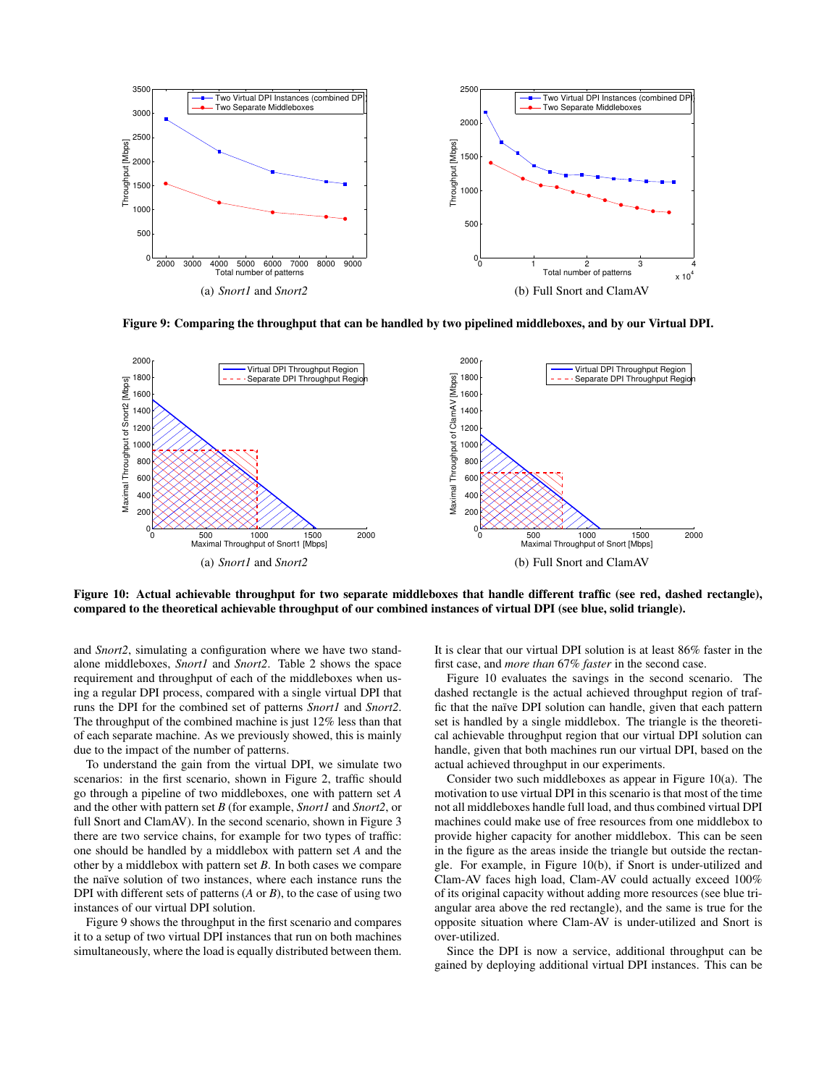

Figure 9: Comparing the throughput that can be handled by two pipelined middleboxes, and by our Virtual DPI.



Figure 10: Actual achievable throughput for two separate middleboxes that handle different traffic (see red, dashed rectangle), compared to the theoretical achievable throughput of our combined instances of virtual DPI (see blue, solid triangle).

and *Snort2*, simulating a configuration where we have two standalone middleboxes, *Snort1* and *Snort2*. Table 2 shows the space requirement and throughput of each of the middleboxes when using a regular DPI process, compared with a single virtual DPI that runs the DPI for the combined set of patterns *Snort1* and *Snort2*. The throughput of the combined machine is just 12% less than that of each separate machine. As we previously showed, this is mainly due to the impact of the number of patterns.

To understand the gain from the virtual DPI, we simulate two scenarios: in the first scenario, shown in Figure 2, traffic should go through a pipeline of two middleboxes, one with pattern set *A* and the other with pattern set *B* (for example, *Snort1* and *Snort2*, or full Snort and ClamAV). In the second scenario, shown in Figure 3 there are two service chains, for example for two types of traffic: one should be handled by a middlebox with pattern set *A* and the other by a middlebox with pattern set *B*. In both cases we compare the naïve solution of two instances, where each instance runs the DPI with different sets of patterns (*A* or *B*), to the case of using two instances of our virtual DPI solution.

Figure 9 shows the throughput in the first scenario and compares it to a setup of two virtual DPI instances that run on both machines simultaneously, where the load is equally distributed between them. It is clear that our virtual DPI solution is at least 86% faster in the first case, and *more than* 67% *faster* in the second case.

Figure 10 evaluates the savings in the second scenario. The dashed rectangle is the actual achieved throughput region of traffic that the naïve DPI solution can handle, given that each pattern set is handled by a single middlebox. The triangle is the theoretical achievable throughput region that our virtual DPI solution can handle, given that both machines run our virtual DPI, based on the actual achieved throughput in our experiments.

Consider two such middleboxes as appear in Figure 10(a). The motivation to use virtual DPI in this scenario is that most of the time not all middleboxes handle full load, and thus combined virtual DPI machines could make use of free resources from one middlebox to provide higher capacity for another middlebox. This can be seen in the figure as the areas inside the triangle but outside the rectangle. For example, in Figure 10(b), if Snort is under-utilized and Clam-AV faces high load, Clam-AV could actually exceed 100% of its original capacity without adding more resources (see blue triangular area above the red rectangle), and the same is true for the opposite situation where Clam-AV is under-utilized and Snort is over-utilized.

Since the DPI is now a service, additional throughput can be gained by deploying additional virtual DPI instances. This can be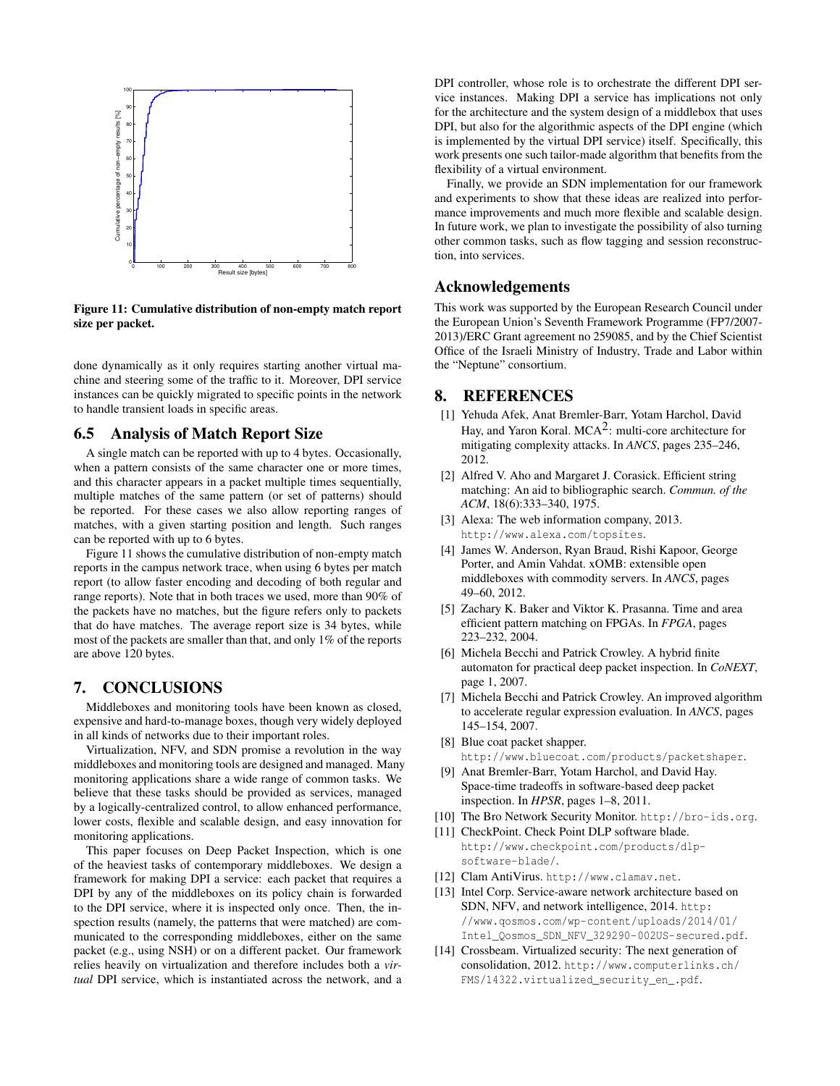

Figure 11: Cumulative distribution of non-empty match report size per packet.

done dynamically as it only requires starting another virtual machine and steering some of the traffic to it. Moreover, DPI service instances can be quickly migrated to specific points in the network to handle transient loads in specific areas.

#### 6.5 Analysis of Match Report Size

A single match can be reported with up to 4 bytes. Occasionally, when a pattern consists of the same character one or more times, and this character appears in a packet multiple times sequentially, multiple matches of the same pattern (or set of patterns) should be reported. For these cases we also allow reporting ranges of matches, with a given starting position and length. Such ranges can be reported with up to 6 bytes.

Figure 11 shows the cumulative distribution of non-empty match reports in the campus network trace, when using 6 bytes per match report (to allow faster encoding and decoding of both regular and range reports). Note that in both traces we used, more than 90% of the packets have no matches, but the figure refers only to packets that do have matches. The average report size is 34 bytes, while most of the packets are smaller than that, and only 1% of the reports are above 120 bytes.

#### 7. CONCLUSIONS

Middleboxes and monitoring tools have been known as closed, expensive and hard-to-manage boxes, though very widely deployed in all kinds of networks due to their important roles.

Virtualization, NFV, and SDN promise a revolution in the way middleboxes and monitoring tools are designed and managed. Many monitoring applications share a wide range of common tasks. We believe that these tasks should be provided as services, managed by a logically-centralized control, to allow enhanced performance, lower costs, flexible and scalable design, and easy innovation for monitoring applications.

This paper focuses on Deep Packet Inspection, which is one of the heaviest tasks of contemporary middleboxes. We design a framework for making DPI a service: each packet that requires a DPI by any of the middleboxes on its policy chain is forwarded to the DPI service, where it is inspected only once. Then, the inspection results (namely, the patterns that were matched) are communicated to the corresponding middleboxes, either on the same packet (e.g., using NSH) or on a different packet. Our framework relies heavily on virtualization and therefore includes both a *virtual* DPI service, which is instantiated across the network, and a DPI controller, whose role is to orchestrate the different DPI service instances. Making DPI a service has implications not only for the architecture and the system design of a middlebox that uses DPI, but also for the algorithmic aspects of the DPI engine (which is implemented by the virtual DPI service) itself. Specifically, this work presents one such tailor-made algorithm that benefits from the flexibility of a virtual environment.

Finally, we provide an SDN implementation for our framework and experiments to show that these ideas are realized into performance improvements and much more flexible and scalable design. In future work, we plan to investigate the possibility of also turning other common tasks, such as flow tagging and session reconstruction, into services.

#### Acknowledgements

This work was supported by the European Research Council under the European Union's Seventh Framework Programme (FP7/2007- 2013)/ERC Grant agreement no 259085, and by the Chief Scientist Office of the Israeli Ministry of Industry, Trade and Labor within the "Neptune" consortium.

#### 8. REFERENCES

- [1] Yehuda Afek, Anat Bremler-Barr, Yotam Harchol, David Hay, and Yaron Koral.  $MCA<sup>2</sup>$ : multi-core architecture for mitigating complexity attacks. In *ANCS*, pages 235–246, 2012.
- [2] Alfred V. Aho and Margaret J. Corasick. Efficient string matching: An aid to bibliographic search. *Commun. of the ACM*, 18(6):333–340, 1975.
- [3] Alexa: The web information company, 2013. http://www.alexa.com/topsites.
- [4] James W. Anderson, Ryan Braud, Rishi Kapoor, George Porter, and Amin Vahdat. xOMB: extensible open middleboxes with commodity servers. In *ANCS*, pages 49–60, 2012.
- [5] Zachary K. Baker and Viktor K. Prasanna. Time and area efficient pattern matching on FPGAs. In *FPGA*, pages 223–232, 2004.
- [6] Michela Becchi and Patrick Crowley. A hybrid finite automaton for practical deep packet inspection. In *CoNEXT*, page 1, 2007.
- [7] Michela Becchi and Patrick Crowley. An improved algorithm to accelerate regular expression evaluation. In *ANCS*, pages 145–154, 2007.
- [8] Blue coat packet shapper. http://www.bluecoat.com/products/packetshaper.
- [9] Anat Bremler-Barr, Yotam Harchol, and David Hay. Space-time tradeoffs in software-based deep packet inspection. In *HPSR*, pages 1–8, 2011.
- [10] The Bro Network Security Monitor. http://bro-ids.org.
- [11] CheckPoint. Check Point DLP software blade. http://www.checkpoint.com/products/dlpsoftware-blade/.
- [12] Clam AntiVirus. http://www.clamav.net.
- [13] Intel Corp. Service-aware network architecture based on SDN, NFV, and network intelligence, 2014. http: //www.qosmos.com/wp-content/uploads/2014/01/ Intel\_Qosmos\_SDN\_NFV\_329290-002US-secured.pdf.
- [14] Crossbeam. Virtualized security: The next generation of consolidation, 2012. http://www.computerlinks.ch/ FMS/14322.virtualized\_security\_en\_.pdf.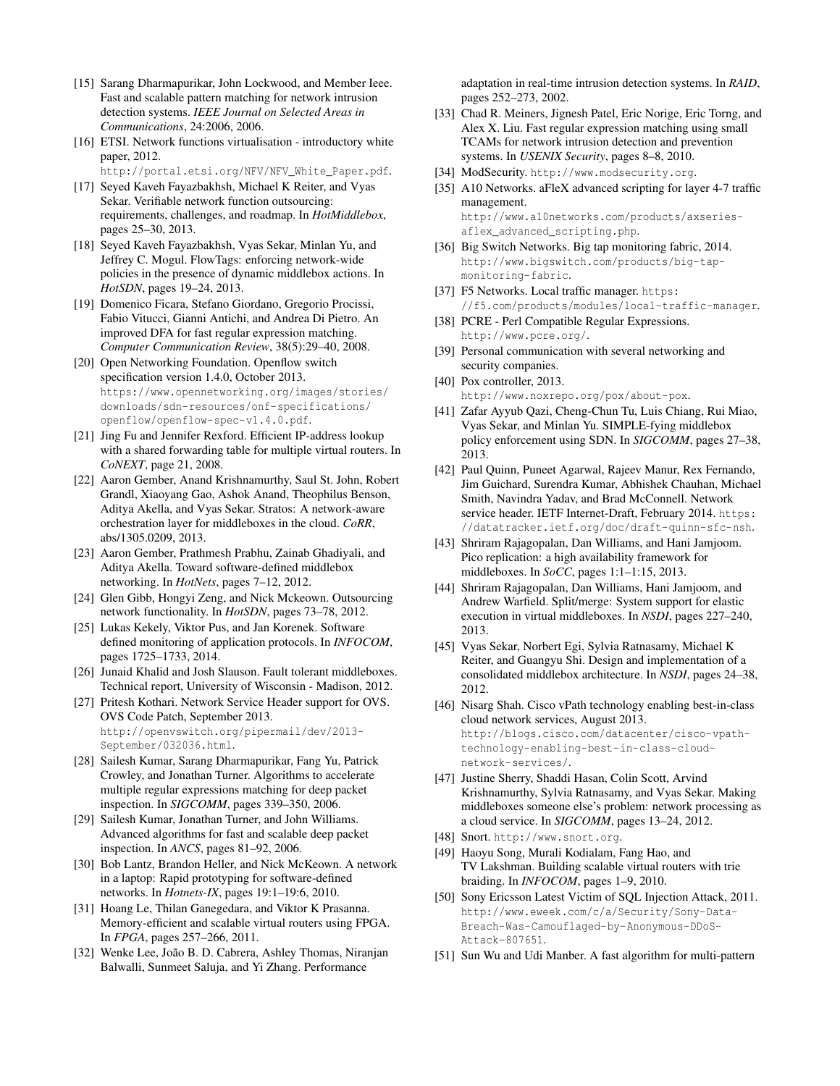- [15] Sarang Dharmapurikar, John Lockwood, and Member Ieee. Fast and scalable pattern matching for network intrusion detection systems. *IEEE Journal on Selected Areas in Communications*, 24:2006, 2006.
- [16] ETSI. Network functions virtualisation introductory white paper, 2012.

http://portal.etsi.org/NFV/NFV\_White\_Paper.pdf.

- [17] Seyed Kaveh Fayazbakhsh, Michael K Reiter, and Vyas Sekar. Verifiable network function outsourcing: requirements, challenges, and roadmap. In *HotMiddlebox*, pages 25–30, 2013.
- [18] Seyed Kaveh Fayazbakhsh, Vyas Sekar, Minlan Yu, and Jeffrey C. Mogul. FlowTags: enforcing network-wide policies in the presence of dynamic middlebox actions. In *HotSDN*, pages 19–24, 2013.
- [19] Domenico Ficara, Stefano Giordano, Gregorio Procissi, Fabio Vitucci, Gianni Antichi, and Andrea Di Pietro. An improved DFA for fast regular expression matching. *Computer Communication Review*, 38(5):29–40, 2008.
- [20] Open Networking Foundation. Openflow switch specification version 1.4.0, October 2013. https://www.opennetworking.org/images/stories/ downloads/sdn-resources/onf-specifications/ openflow/openflow-spec-v1.4.0.pdf.
- [21] Jing Fu and Jennifer Rexford. Efficient IP-address lookup with a shared forwarding table for multiple virtual routers. In *CoNEXT*, page 21, 2008.
- [22] Aaron Gember, Anand Krishnamurthy, Saul St. John, Robert Grandl, Xiaoyang Gao, Ashok Anand, Theophilus Benson, Aditya Akella, and Vyas Sekar. Stratos: A network-aware orchestration layer for middleboxes in the cloud. *CoRR*, abs/1305.0209, 2013.
- [23] Aaron Gember, Prathmesh Prabhu, Zainab Ghadiyali, and Aditya Akella. Toward software-defined middlebox networking. In *HotNets*, pages 7–12, 2012.
- [24] Glen Gibb, Hongyi Zeng, and Nick Mckeown. Outsourcing network functionality. In *HotSDN*, pages 73–78, 2012.
- [25] Lukas Kekely, Viktor Pus, and Jan Korenek. Software defined monitoring of application protocols. In *INFOCOM*, pages 1725–1733, 2014.
- [26] Junaid Khalid and Josh Slauson. Fault tolerant middleboxes. Technical report, University of Wisconsin - Madison, 2012.
- [27] Pritesh Kothari. Network Service Header support for OVS. OVS Code Patch, September 2013. http://openvswitch.org/pipermail/dev/2013- September/032036.html.
- [28] Sailesh Kumar, Sarang Dharmapurikar, Fang Yu, Patrick Crowley, and Jonathan Turner. Algorithms to accelerate multiple regular expressions matching for deep packet inspection. In *SIGCOMM*, pages 339–350, 2006.
- [29] Sailesh Kumar, Jonathan Turner, and John Williams. Advanced algorithms for fast and scalable deep packet inspection. In *ANCS*, pages 81–92, 2006.
- [30] Bob Lantz, Brandon Heller, and Nick McKeown. A network in a laptop: Rapid prototyping for software-defined networks. In *Hotnets-IX*, pages 19:1–19:6, 2010.
- [31] Hoang Le, Thilan Ganegedara, and Viktor K Prasanna. Memory-efficient and scalable virtual routers using FPGA. In *FPGA*, pages 257–266, 2011.
- [32] Wenke Lee, João B. D. Cabrera, Ashley Thomas, Niranjan Balwalli, Sunmeet Saluja, and Yi Zhang. Performance

adaptation in real-time intrusion detection systems. In *RAID*, pages 252–273, 2002.

- [33] Chad R. Meiners, Jignesh Patel, Eric Norige, Eric Torng, and Alex X. Liu. Fast regular expression matching using small TCAMs for network intrusion detection and prevention systems. In *USENIX Security*, pages 8–8, 2010.
- [34] ModSecurity. http://www.modsecurity.org.
- [35] A10 Networks. aFleX advanced scripting for layer 4-7 traffic management. http://www.a10networks.com/products/axseries-

aflex\_advanced\_scripting.php.

- [36] Big Switch Networks. Big tap monitoring fabric, 2014. http://www.bigswitch.com/products/big-tapmonitoring-fabric.
- [37] F5 Networks. Local traffic manager. https: //f5.com/products/modules/local-traffic-manager.
- [38] PCRE Perl Compatible Regular Expressions. http://www.pcre.org/.
- [39] Personal communication with several networking and security companies.
- [40] Pox controller, 2013. http://www.noxrepo.org/pox/about-pox.
- [41] Zafar Ayyub Qazi, Cheng-Chun Tu, Luis Chiang, Rui Miao, Vyas Sekar, and Minlan Yu. SIMPLE-fying middlebox policy enforcement using SDN. In *SIGCOMM*, pages 27–38, 2013.
- [42] Paul Quinn, Puneet Agarwal, Rajeev Manur, Rex Fernando, Jim Guichard, Surendra Kumar, Abhishek Chauhan, Michael Smith, Navindra Yadav, and Brad McConnell. Network service header. IETF Internet-Draft, February 2014. https: //datatracker.ietf.org/doc/draft-quinn-sfc-nsh.
- [43] Shriram Rajagopalan, Dan Williams, and Hani Jamjoom. Pico replication: a high availability framework for middleboxes. In *SoCC*, pages 1:1–1:15, 2013.
- [44] Shriram Rajagopalan, Dan Williams, Hani Jamjoom, and Andrew Warfield. Split/merge: System support for elastic execution in virtual middleboxes. In *NSDI*, pages 227–240, 2013.
- [45] Vyas Sekar, Norbert Egi, Sylvia Ratnasamy, Michael K Reiter, and Guangyu Shi. Design and implementation of a consolidated middlebox architecture. In *NSDI*, pages 24–38, 2012.
- [46] Nisarg Shah. Cisco vPath technology enabling best-in-class cloud network services, August 2013. http://blogs.cisco.com/datacenter/cisco-vpathtechnology-enabling-best-in-class-cloudnetwork-services/.
- [47] Justine Sherry, Shaddi Hasan, Colin Scott, Arvind Krishnamurthy, Sylvia Ratnasamy, and Vyas Sekar. Making middleboxes someone else's problem: network processing as a cloud service. In *SIGCOMM*, pages 13–24, 2012.
- [48] Snort. http://www.snort.org.
- [49] Haoyu Song, Murali Kodialam, Fang Hao, and TV Lakshman. Building scalable virtual routers with trie braiding. In *INFOCOM*, pages 1–9, 2010.
- [50] Sony Ericsson Latest Victim of SQL Injection Attack, 2011. http://www.eweek.com/c/a/Security/Sony-Data-Breach-Was-Camouflaged-by-Anonymous-DDoS-Attack-807651.
- [51] Sun Wu and Udi Manber. A fast algorithm for multi-pattern